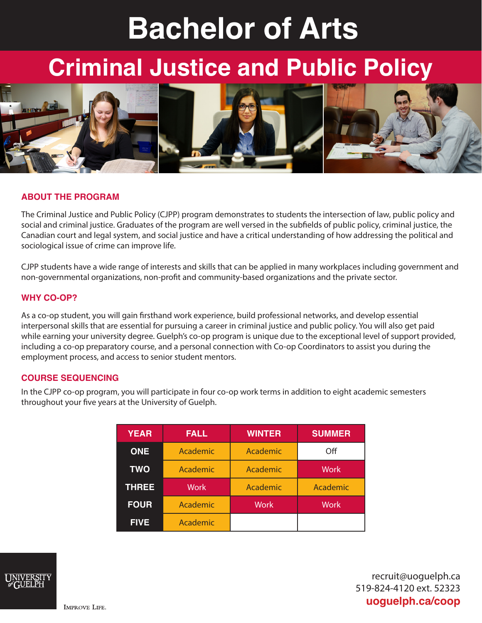# **Bachelor of Arts**

## **Criminal Justice and Public Policy**



#### **ABOUT THE PROGRAM**

The Criminal Justice and Public Policy (CJPP) program demonstrates to students the intersection of law, public policy and social and criminal justice. Graduates of the program are well versed in the subfields of public policy, criminal justice, the Canadian court and legal system, and social justice and have a critical understanding of how addressing the political and sociological issue of crime can improve life.

CJPP students have a wide range of interests and skills that can be applied in many workplaces including government and non-governmental organizations, non-profit and community-based organizations and the private sector.

#### **WHY CO-OP?**

As a co-op student, you will gain firsthand work experience, build professional networks, and develop essential interpersonal skills that are essential for pursuing a career in criminal justice and public policy. You will also get paid while earning your university degree. Guelph's co-op program is unique due to the exceptional level of support provided, including a co-op preparatory course, and a personal connection with Co-op Coordinators to assist you during the employment process, and access to senior student mentors.

#### **COURSE SEQUENCING**

In the CJPP co-op program, you will participate in four co-op work terms in addition to eight academic semesters throughout your five years at the University of Guelph.

| <b>YEAR</b>  | <b>FALL</b> | <b>WINTER</b> | <b>SUMMER</b> |
|--------------|-------------|---------------|---------------|
| <b>ONE</b>   | Academic    | Academic      | Off           |
| <b>TWO</b>   | Academic    | Academic      | <b>Work</b>   |
| <b>THREE</b> | <b>Work</b> | Academic      | Academic      |
| <b>FOUR</b>  | Academic    | <b>Work</b>   | <b>Work</b>   |
| <b>FIVE</b>  | Academic    |               |               |



recruit@uoguelph.ca 519-824-4120 ext. 52323 **uoguelph.ca/coop**